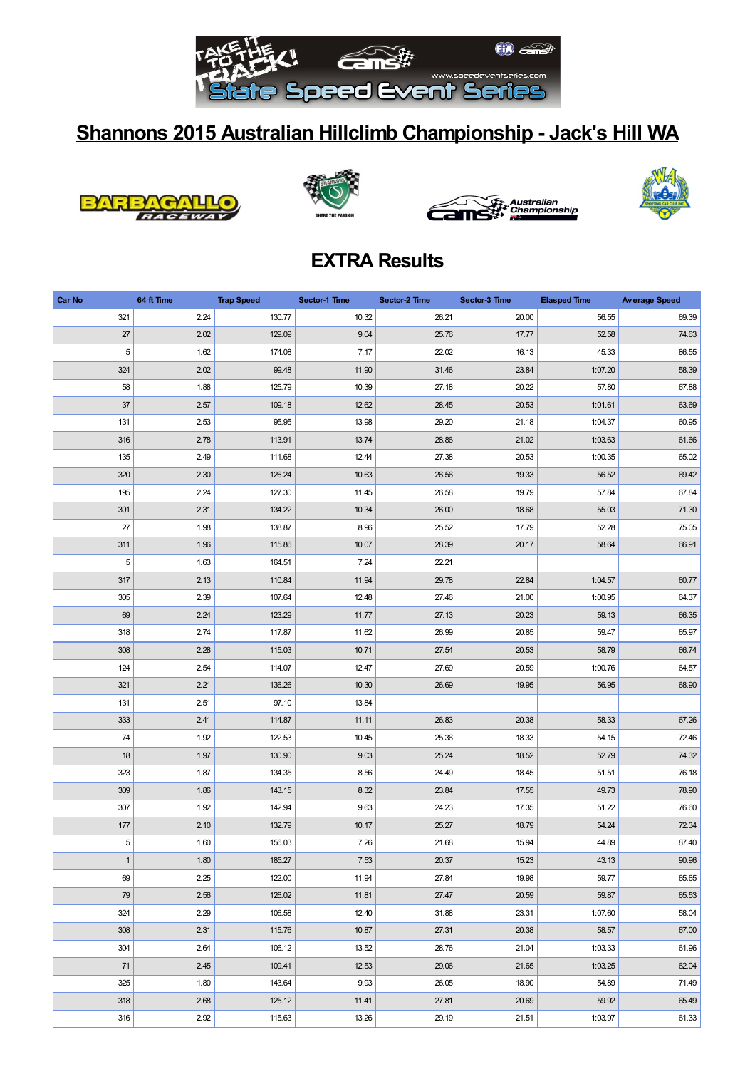

## **Shannons 2015 Australian Hillclimb Championship - Jack's Hill WA**









## **EXTRA Results**

| Car No       | 64 ft Time | <b>Trap Speed</b> | Sector-1 Time | Sector-2 Time | Sector-3 Time | <b>Elasped Time</b> | <b>Average Speed</b> |
|--------------|------------|-------------------|---------------|---------------|---------------|---------------------|----------------------|
| 321          | 2.24       | 130.77            | 10.32         | 26.21         | 20.00         | 56.55               | 69.39                |
| 27           | 2.02       | 129.09            | 9.04          | 25.76         | 17.77         | 52.58               | 74.63                |
| 5            | 1.62       | 174.08            | 7.17          | 22.02         | 16.13         | 45.33               | 86.55                |
| 324          | 2.02       | 99.48             | 11.90         | 31.46         | 23.84         | 1:07.20             | 58.39                |
| 58           | 1.88       | 125.79            | 10.39         | 27.18         | 20.22         | 57.80               | 67.88                |
| 37           | 2.57       | 109.18            | 12.62         | 28.45         | 20.53         | 1:01.61             | 63.69                |
| 131          | 2.53       | 95.95             | 13.98         | 29.20         | 21.18         | 1:04.37             | 60.95                |
| 316          | 2.78       | 113.91            | 13.74         | 28.86         | 21.02         | 1:03.63             | 61.66                |
| 135          | 2.49       | 111.68            | 12.44         | 27.38         | 20.53         | 1:00.35             | 65.02                |
| 320          | 2.30       | 126.24            | 10.63         | 26.56         | 19.33         | 56.52               | 69.42                |
| 195          | 2.24       | 127.30            | 11.45         | 26.58         | 19.79         | 57.84               | 67.84                |
| 301          | 2.31       | 134.22            | 10.34         | 26.00         | 18.68         | 55.03               | 71.30                |
| 27           | 1.98       | 138.87            | 8.96          | 25.52         | 17.79         | 52.28               | 75.05                |
| 311          | 1.96       | 115.86            | 10.07         | 28.39         | 20.17         | 58.64               | 66.91                |
| $\,$ 5 $\,$  | 1.63       | 164.51            | 7.24          | 22.21         |               |                     |                      |
| 317          | 2.13       | 110.84            | 11.94         | 29.78         | 22.84         | 1:04.57             | 60.77                |
| 305          | 2.39       | 107.64            | 12.48         | 27.46         | 21.00         | 1:00.95             | 64.37                |
| 69           | 2.24       | 123.29            | 11.77         | 27.13         | 20.23         | 59.13               | 66.35                |
| 318          | 2.74       | 117.87            | 11.62         | 26.99         | 20.85         | 59.47               | 65.97                |
| 308          | 2.28       | 115.03            | 10.71         | 27.54         | 20.53         | 58.79               | 66.74                |
| 124          | 2.54       | 114.07            | 12.47         | 27.69         | 20.59         | 1:00.76             | 64.57                |
| 321          | 2.21       | 136.26            | 10.30         | 26.69         | 19.95         | 56.95               | 68.90                |
| 131          | 2.51       | 97.10             | 13.84         |               |               |                     |                      |
| 333          | 2.41       | 114.87            | 11.11         | 26.83         | 20.38         | 58.33               | 67.26                |
| 74           | 1.92       | 122.53            | 10.45         | 25.36         | 18.33         | 54.15               | 72.46                |
| 18           | 1.97       | 130.90            | 9.03          | 25.24         | 18.52         | 52.79               | 74.32                |
| 323          | 1.87       | 134.35            | 8.56          | 24.49         | 18.45         | 51.51               | 76.18                |
| 309          | 1.86       | 143.15            | 8.32          | 23.84         | 17.55         | 49.73               | 78.90                |
| 307          | 1.92       | 142.94            | 9.63          | 24.23         | 17.35         | 51.22               | 76.60                |
| 177          | 2.10       | 132.79            | 10.17         | 25.27         | 18.79         | 54.24               | 72.34                |
| $\,$ 5 $\,$  | 1.60       | 156.03            | 7.26          | 21.68         | 15.94         | 44.89               | 87.40                |
| $\mathbf{1}$ | $1.80$     | 185.27            | $7.53\,$      | 20.37         | 15.23         | 43.13               | 90.96                |
| 69           | 2.25       | 122.00            | 11.94         | 27.84         | 19.98         | 59.77               | 65.65                |
| 79           | 2.56       | 126.02            | 11.81         | 27.47         | 20.59         | 59.87               | 65.53                |
| 324          | 2.29       | 106.58            | 12.40         | 31.88         | 23.31         | 1:07.60             | 58.04                |
| 308          | 2.31       | 115.76            | 10.87         | 27.31         | 20.38         | 58.57               | 67.00                |
| 304          | 2.64       | 106.12            | 13.52         | 28.76         | 21.04         | 1:03.33             | 61.96                |
| 71           | 2.45       | 109.41            | 12.53         | 29.06         | 21.65         | 1:03.25             | 62.04                |
| 325          | 1.80       | 143.64            | 9.93          | 26.05         | 18.90         | 54.89               | 71.49                |
| 318          | 2.68       | 125.12            | 11.41         | 27.81         | 20.69         | 59.92               | 65.49                |
| 316          | 2.92       | 115.63            | 13.26         | 29.19         | 21.51         | 1:03.97             | 61.33                |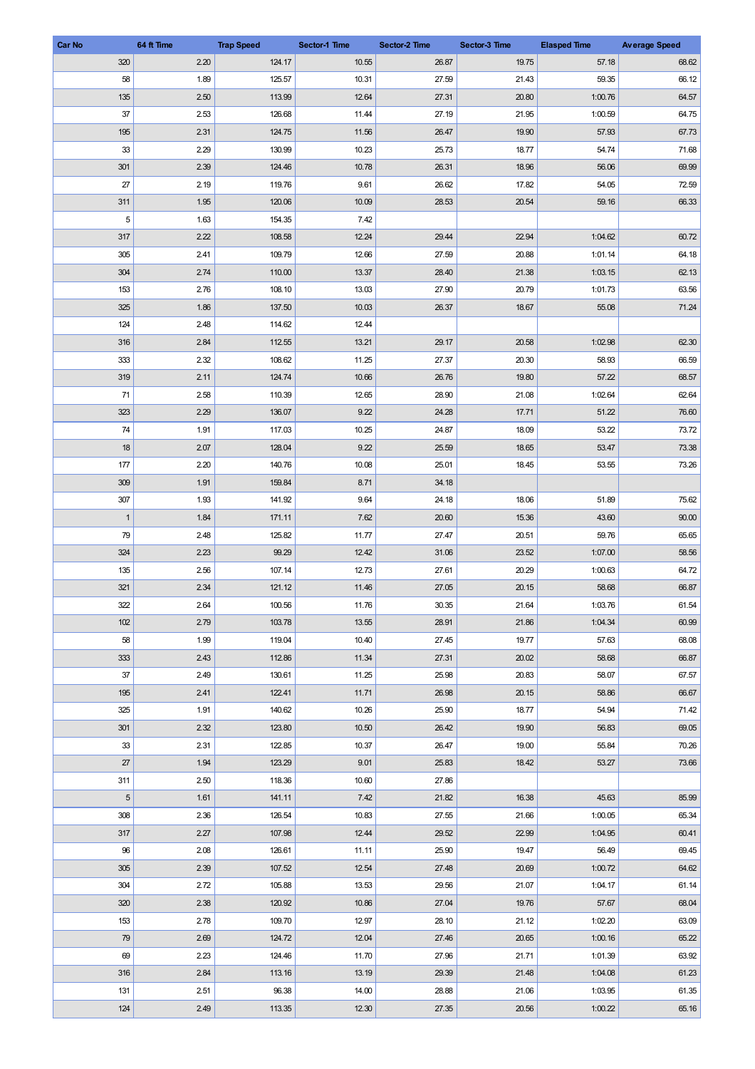| Car No       | 64 ft Time | <b>Trap Speed</b> | Sector-1 Time | Sector-2 Time | Sector-3 Time | <b>Elasped Time</b> | <b>Average Speed</b> |
|--------------|------------|-------------------|---------------|---------------|---------------|---------------------|----------------------|
| 320          | 2.20       | 124.17            | 10.55         | 26.87         | 19.75         | 57.18               | 68.62                |
| 58           | 1.89       | 125.57            | 10.31         | 27.59         | 21.43         | 59.35               | 66.12                |
| 135          | 2.50       | 113.99            | 12.64         | 27.31         | 20.80         | 1:00.76             | 64.57                |
| 37           | 2.53       | 126.68            | 11.44         | 27.19         | 21.95         | 1:00.59             | 64.75                |
| 195          | 2.31       | 124.75            | 11.56         | 26.47         | 19.90         | 57.93               | 67.73                |
| 33           | 2.29       | 130.99            | 10.23         | 25.73         | 18.77         | 54.74               | 71.68                |
| 301          | 2.39       | 124.46            | 10.78         | 26.31         | 18.96         | 56.06               | 69.99                |
| 27           | 2.19       | 119.76            | 9.61          | 26.62         | 17.82         | 54.05               | 72.59                |
| 311          | 1.95       | 120.06            | 10.09         | 28.53         | 20.54         | 59.16               | 66.33                |
| $\,$ 5 $\,$  | 1.63       | 154.35            | 7.42          |               |               |                     |                      |
| 317          | 2.22       | 108.58            | 12.24         | 29.44         | 22.94         | 1:04.62             | 60.72                |
| 305          | 2.41       | 109.79            | 12.66         | 27.59         | 20.88         | 1:01.14             | 64.18                |
| 304          | 2.74       | 110.00            | 13.37         | 28.40         | 21.38         | 1:03.15             | 62.13                |
| 153          | 2.76       | 108.10            | 13.03         | 27.90         | 20.79         | 1:01.73             | 63.56                |
| 325          | 1.86       | 137.50            | 10.03         | 26.37         | 18.67         | 55.08               | 71.24                |
| 124          | 2.48       | 114.62            | 12.44         |               |               |                     |                      |
|              | 2.84       |                   |               |               |               | 1:02.98             |                      |
| 316          |            | 112.55            | 13.21         | 29.17         | 20.58         |                     | 62.30<br>66.59       |
| 333          | 2.32       | 108.62            | 11.25         | 27.37         | 20.30         | 58.93               |                      |
| 319          | 2.11       | 124.74            | 10.66         | 26.76         | 19.80         | 57.22               | 68.57                |
| 71           | 2.58       | 110.39            | 12.65         | 28.90         | 21.08         | 1:02.64             | 62.64                |
| 323          | 2.29       | 136.07            | 9.22          | 24.28         | 17.71         | 51.22               | 76.60                |
| 74           | 1.91       | 117.03            | 10.25         | 24.87         | 18.09         | 53.22               | 73.72                |
| 18           | 2.07       | 128.04            | 9.22          | 25.59         | 18.65         | 53.47               | 73.38                |
| 177          | 2.20       | 140.76            | 10.08         | 25.01         | 18.45         | 53.55               | 73.26                |
| 309          | 1.91       | 159.84            | 8.71          | 34.18         |               |                     |                      |
| 307          | 1.93       | 141.92            | 9.64          | 24.18         | 18.06         | 51.89               | 75.62                |
| $\mathbf{1}$ | 1.84       | 171.11            | 7.62          | 20.60         | 15.36         | 43.60               | 90.00                |
| 79           | 2.48       | 125.82            | 11.77         | 27.47         | 20.51         | 59.76               | 65.65                |
| 324          | 2.23       | 99.29             | 12.42         | 31.06         | 23.52         | 1:07.00             | 58.56                |
| 135          | 2.56       | 107.14            | 12.73         | 27.61         | 20.29         | 1:00.63             | 64.72                |
| 321          | 2.34       | 121.12            | 11.46         | 27.05         | 20.15         | 58.68               | 66.87                |
| 322          | 2.64       | 100.56            | 11.76         | 30.35         | 21.64         | 1:03.76             | 61.54                |
| 102          | 2.79       | 103.78            | 13.55         | 28.91         | 21.86         | 1:04.34             | 60.99                |
| 58           | 1.99       | 119.04            | 10.40         | 27.45         | 19.77         | 57.63               | 68.08                |
| 333          | 2.43       | 112.86            | 11.34         | 27.31         | 20.02         | 58.68               | 66.87                |
| 37           | 2.49       | 130.61            | 11.25         | 25.98         | 20.83         | 58.07               | 67.57                |
| 195          | 2.41       | 122.41            | 11.71         | 26.98         | 20.15         | 58.86               | 66.67                |
| 325          | 1.91       | 140.62            | 10.26         | 25.90         | 18.77         | 54.94               | 71.42                |
| 301          | 2.32       | 123.80            | 10.50         | 26.42         | 19.90         | 56.83               | 69.05                |
| 33           | 2.31       | 122.85            | 10.37         | 26.47         | 19.00         | 55.84               | 70.26                |
| 27           | 1.94       | 123.29            | 9.01          | 25.83         | 18.42         | 53.27               | 73.66                |
| 311          | 2.50       | 118.36            | 10.60         | 27.86         |               |                     |                      |
| $\sqrt{5}$   | 1.61       | 141.11            | 7.42          | 21.82         | 16.38         | 45.63               | 85.99                |
| 308          | 2.36       | 126.54            | 10.83         | 27.55         | 21.66         | 1:00.05             | 65.34                |
| 317          | 2.27       | 107.98            | 12.44         | 29.52         | 22.99         | 1:04.95             | 60.41                |
| 96           | 2.08       | 126.61            | 11.11         | 25.90         | 19.47         | 56.49               | 69.45                |
| 305          | 2.39       | 107.52            | 12.54         | 27.48         | 20.69         | 1:00.72             | 64.62                |
| 304          | 2.72       | 105.88            | 13.53         | 29.56         | 21.07         | 1:04.17             | 61.14                |
| 320          | 2.38       | 120.92            | 10.86         | 27.04         | 19.76         | 57.67               | 68.04                |
| 153          | 2.78       | 109.70            | 12.97         | 28.10         | 21.12         | 1:02.20             | 63.09                |
| 79           | 2.69       | 124.72            | 12.04         | 27.46         | 20.65         | 1:00.16             | 65.22                |
| 69           | 2.23       | 124.46            | 11.70         | 27.96         | 21.71         | 1:01.39             | 63.92                |
| 316          | 2.84       | 113.16            | 13.19         | 29.39         | 21.48         | 1:04.08             | 61.23                |
| 131          | 2.51       | 96.38             | 14.00         | 28.88         | 21.06         | 1:03.95             | 61.35                |
| 124          | 2.49       | 113.35            | 12.30         | 27.35         | 20.56         | 1:00.22             | 65.16                |
|              |            |                   |               |               |               |                     |                      |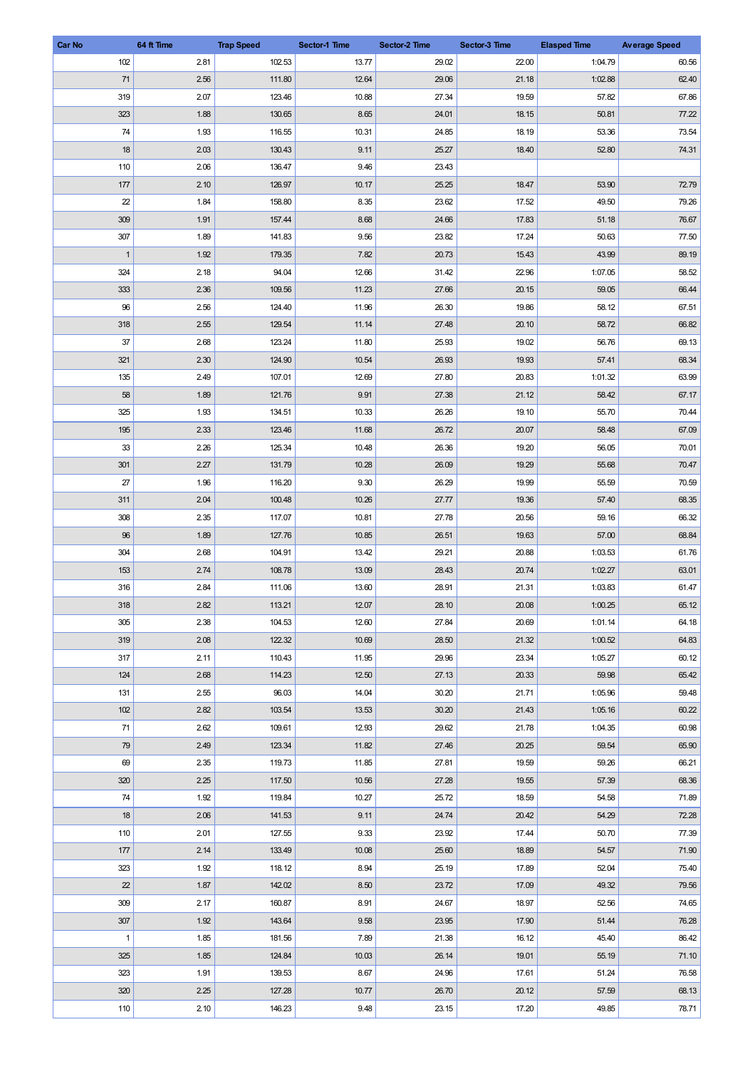| <b>Car No</b>  | 64 ft Time | <b>Trap Speed</b> | Sector-1 Time | Sector-2 Time | Sector-3 Time | <b>Elasped Time</b> | <b>Average Speed</b> |
|----------------|------------|-------------------|---------------|---------------|---------------|---------------------|----------------------|
| 102            | 2.81       | 102.53            | 13.77         | 29.02         | 22.00         | 1:04.79             | 60.56                |
| 71             | 2.56       | 111.80            | 12.64         | 29.06         | 21.18         | 1:02.88             | 62.40                |
| 319            | 2.07       | 123.46            | 10.88         | 27.34         | 19.59         | 57.82               | 67.86                |
| 323            | 1.88       | 130.65            | 8.65          | 24.01         | 18.15         | 50.81               | 77.22                |
| 74             | 1.93       | 116.55            | 10.31         | 24.85         | 18.19         | 53.36               | 73.54                |
| 18             | 2.03       | 130.43            | 9.11          | 25.27         | 18.40         | 52.80               | 74.31                |
| 110            | 2.06       | 136.47            | 9.46          | 23.43         |               |                     |                      |
| 177            | 2.10       | 126.97            | 10.17         | 25.25         | 18.47         | 53.90               | 72.79                |
| 22             | 1.84       | 158.80            | 8.35          | 23.62         | 17.52         | 49.50               | 79.26                |
| 309            | 1.91       | 157.44            | 8.68          | 24.66         | 17.83         | 51.18               | 76.67                |
| 307            | 1.89       | 141.83            | 9.56          | 23.82         | 17.24         | 50.63               | 77.50                |
| $\overline{1}$ | 1.92       | 179.35            | 7.82          | 20.73         | 15.43         | 43.99               | 89.19                |
| 324            | 2.18       | 94.04             | 12.66         | 31.42         | 22.96         | 1:07.05             | 58.52                |
| 333            | 2.36       | 109.56            | 11.23         | 27.66         | 20.15         | 59.05               | 66.44                |
| 96             | 2.56       | 124.40            | 11.96         | 26.30         | 19.86         | 58.12               | 67.51                |
| 318            | 2.55       | 129.54            | 11.14         | 27.48         | 20.10         | 58.72               | 66.82                |
| 37             | 2.68       | 123.24            | 11.80         | 25.93         | 19.02         | 56.76               | 69.13                |
| 321            | 2.30       | 124.90            | 10.54         | 26.93         | 19.93         | 57.41               | 68.34                |
| 135            | 2.49       | 107.01            | 12.69         | 27.80         | 20.83         | 1:01.32             | 63.99                |
| 58             | 1.89       | 121.76            | 9.91          | 27.38         | 21.12         | 58.42               | 67.17                |
| 325            | 1.93       | 134.51            | 10.33         | 26.26         | 19.10         | 55.70               | 70.44                |
| 195            | 2.33       | 123.46            | 11.68         | 26.72         | 20.07         | 58.48               | 67.09                |
| 33             | 2.26       | 125.34            | 10.48         | 26.36         | 19.20         | 56.05               | 70.01                |
| 301            | 2.27       | 131.79            | 10.28         | 26.09         | 19.29         | 55.68               | 70.47                |
|                |            |                   |               |               |               |                     | 70.59                |
| 27             | 1.96       | 116.20            | 9.30          | 26.29         | 19.99         | 55.59               |                      |
| 311            | 2.04       | 100.48            | 10.26         | 27.77         | 19.36         | 57.40               | 68.35                |
| 308            | 2.35       | 117.07            | 10.81         | 27.78         | 20.56         | 59.16               | 66.32                |
| 96<br>304      | 1.89       | 127.76            | 10.85         | 26.51         | 19.63         | 57.00               | 68.84                |
|                | 2.68       | 104.91            | 13.42         | 29.21         | 20.88         | 1:03.53             | 61.76                |
| 153            | 2.74       | 108.78            | 13.09         | 28.43         | 20.74         | 1:02.27             | 63.01                |
| 316            | 2.84       | 111.06            | 13.60         | 28.91         | 21.31         | 1:03.83             | 61.47                |
| 318            | 2.82       | 113.21            | 12.07         | 28.10         | 20.08         | 1:00.25             | 65.12                |
| 305            | 2.38       | 104.53            | 12.60         | 27.84         | 20.69         | 1:01.14             | 64.18                |
| 319            | 2.08       | 122.32            | 10.69         | 28.50         | 21.32         | 1:00.52             | 64.83                |
| 317            | 2.11       | 110.43            | 11.95         | 29.96         | 23.34         | 1:05.27             | 60.12                |
| 124            | 2.68       | 114.23            | 12.50         | 27.13         | 20.33         | 59.98               | 65.42                |
| 131            | 2.55       | 96.03             | 14.04         | 30.20         | 21.71         | 1:05.96             | 59.48                |
| 102            | 2.82       | 103.54            | 13.53         | 30.20         | 21.43         | 1:05.16             | 60.22                |
| $71$           | 2.62       | 109.61            | 12.93         | 29.62         | 21.78         | 1:04.35             | 60.98                |
| 79             | 2.49       | 123.34            | 11.82         | 27.46         | 20.25         | 59.54               | 65.90                |
| 69             | 2.35       | 119.73            | 11.85         | 27.81         | 19.59         | 59.26               | 66.21                |
| 320            | 2.25       | 117.50            | 10.56         | 27.28         | 19.55         | 57.39               | 68.36                |
| 74             | 1.92       | 119.84            | 10.27         | 25.72         | 18.59         | 54.58               | 71.89                |
| 18             | 2.06       | 141.53            | 9.11          | 24.74         | 20.42         | 54.29               | 72.28                |
| 110            | 2.01       | 127.55            | 9.33          | 23.92         | 17.44         | 50.70               | 77.39                |
| 177            | 2.14       | 133.49            | 10.08         | 25.60         | 18.89         | 54.57               | 71.90                |
| 323            | 1.92       | 118.12            | 8.94          | 25.19         | 17.89         | 52.04               | 75.40                |
| 22             | 1.87       | 142.02            | 8.50          | 23.72         | 17.09         | 49.32               | 79.56                |
| 309            | 2.17       | 160.87            | 8.91          | 24.67         | 18.97         | 52.56               | 74.65                |
| 307            | 1.92       | 143.64            | 9.58          | 23.95         | 17.90         | 51.44               | 76.28                |
| $\mathbf{1}$   | 1.85       | 181.56            | 7.89          | 21.38         | 16.12         | 45.40               | 86.42                |
| 325            | 1.85       | 124.84            | 10.03         | 26.14         | 19.01         | 55.19               | 71.10                |
| 323            | 1.91       | 139.53            | 8.67          | 24.96         | 17.61         | 51.24               | 76.58                |
| 320            | 2.25       | 127.28            | 10.77         | 26.70         | 20.12         | 57.59               | 68.13                |
| 110            | 2.10       | 146.23            | 9.48          | 23.15         | 17.20         | 49.85               | 78.71                |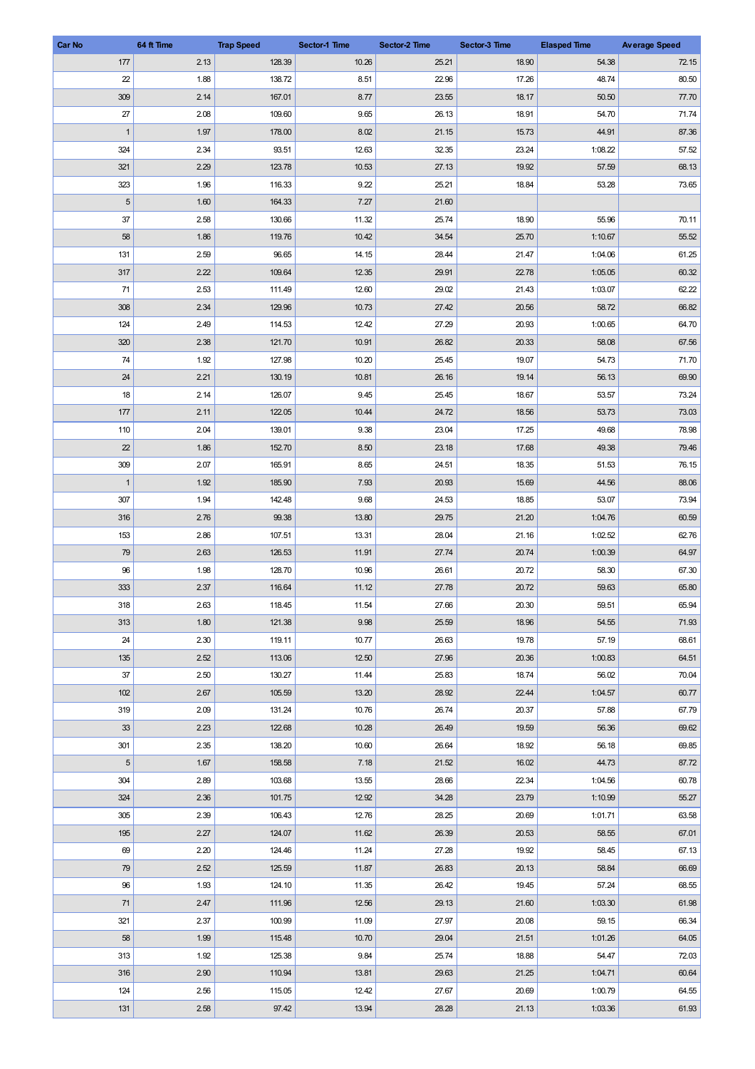| Car No       | 64 ft Time | <b>Trap Speed</b> | Sector-1 Time | Sector-2 Time | Sector-3 Time | <b>Elasped Time</b> | <b>Average Speed</b> |
|--------------|------------|-------------------|---------------|---------------|---------------|---------------------|----------------------|
| 177          | 2.13       | 128.39            | 10.26         | 25.21         | 18.90         | 54.38               | 72.15                |
| 22           | 1.88       | 138.72            | 8.51          | 22.96         | 17.26         | 48.74               | 80.50                |
| 309          | 2.14       | 167.01            | 8.77          | 23.55         | 18.17         | 50.50               | 77.70                |
| 27           | 2.08       | 109.60            | 9.65          | 26.13         | 18.91         | 54.70               | 71.74                |
| $\mathbf{1}$ | 1.97       | 178.00            | 8.02          | 21.15         | 15.73         | 44.91               | 87.36                |
| 324          | 2.34       | 93.51             | 12.63         | 32.35         | 23.24         | 1:08.22             | 57.52                |
| 321          | 2.29       | 123.78            | 10.53         | 27.13         | 19.92         | 57.59               | 68.13                |
| 323          | 1.96       | 116.33            | 9.22          | 25.21         | 18.84         | 53.28               | 73.65                |
| $\sqrt{5}$   | 1.60       | 164.33            | 7.27          | 21.60         |               |                     |                      |
| 37           | 2.58       | 130.66            | 11.32         | 25.74         | 18.90         | 55.96               | 70.11                |
| 58           | 1.86       | 119.76            | 10.42         | 34.54         | 25.70         | 1:10.67             | 55.52                |
| 131          | 2.59       | 96.65             | 14.15         | 28.44         | 21.47         | 1:04.06             | 61.25                |
| 317          | 2.22       | 109.64            | 12.35         | 29.91         | 22.78         | 1:05.05             | 60.32                |
| 71           | 2.53       | 111.49            | 12.60         | 29.02         | 21.43         | 1:03.07             | 62.22                |
| 308          | 2.34       | 129.96            | 10.73         | 27.42         | 20.56         | 58.72               | 66.82                |
| 124          | 2.49       | 114.53            | 12.42         | 27.29         | 20.93         | 1:00.65             | 64.70                |
| 320          | 2.38       |                   | 10.91         |               |               |                     |                      |
|              |            | 121.70            |               | 26.82         | 20.33         | 58.08               | 67.56<br>71.70       |
| 74           | 1.92       | 127.98            | 10.20         | 25.45         | 19.07         | 54.73               |                      |
| 24           | 2.21       | 130.19            | 10.81         | 26.16         | 19.14         | 56.13               | 69.90                |
| 18           | 2.14       | 126.07            | 9.45          | 25.45         | 18.67         | 53.57               | 73.24                |
| 177          | 2.11       | 122.05            | 10.44         | 24.72         | 18.56         | 53.73               | 73.03                |
| 110          | 2.04       | 139.01            | 9.38          | 23.04         | 17.25         | 49.68               | 78.98                |
| 22           | 1.86       | 152.70            | 8.50          | 23.18         | 17.68         | 49.38               | 79.46                |
| 309          | 2.07       | 165.91            | 8.65          | 24.51         | 18.35         | 51.53               | 76.15                |
| $\mathbf{1}$ | 1.92       | 185.90            | 7.93          | 20.93         | 15.69         | 44.56               | 88.06                |
| 307          | 1.94       | 142.48            | 9.68          | 24.53         | 18.85         | 53.07               | 73.94                |
| 316          | 2.76       | 99.38             | 13.80         | 29.75         | 21.20         | 1:04.76             | 60.59                |
| 153          | 2.86       | 107.51            | 13.31         | 28.04         | 21.16         | 1:02.52             | 62.76                |
| 79           | 2.63       | 126.53            | 11.91         | 27.74         | 20.74         | 1:00.39             | 64.97                |
| 96           | 1.98       | 128.70            | 10.96         | 26.61         | 20.72         | 58.30               | 67.30                |
| 333          | 2.37       | 116.64            | 11.12         | 27.78         | 20.72         | 59.63               | 65.80                |
| 318          | 2.63       | 118.45            | 11.54         | 27.66         | 20.30         | 59.51               | 65.94                |
| 313          | 1.80       | 121.38            | 9.98          | 25.59         | 18.96         | 54.55               | 71.93                |
| 24           | 2.30       | 119.11            | 10.77         | 26.63         | 19.78         | 57.19               | 68.61                |
| 135          | 2.52       | 113.06            | 12.50         | 27.96         | 20.36         | 1:00.83             | 64.51                |
| 37           | 2.50       | 130.27            | 11.44         | 25.83         | 18.74         | 56.02               | 70.04                |
| 102          | 2.67       | 105.59            | 13.20         | 28.92         | 22.44         | 1:04.57             | 60.77                |
| 319          | 2.09       | 131.24            | 10.76         | 26.74         | 20.37         | 57.88               | 67.79                |
| 33           | 2.23       | 122.68            | 10.28         | 26.49         | 19.59         | 56.36               | 69.62                |
| 301          | 2.35       | 138.20            | 10.60         | 26.64         | 18.92         | 56.18               | 69.85                |
| $\sqrt{5}$   | 1.67       | 158.58            | 7.18          | 21.52         | 16.02         | 44.73               | 87.72                |
| 304          | 2.89       | 103.68            | 13.55         | 28.66         | 22.34         | 1:04.56             | 60.78                |
| 324          | 2.36       | 101.75            | 12.92         | 34.28         | 23.79         | 1:10.99             | 55.27                |
| 305          | 2.39       | 106.43            | 12.76         | 28.25         | 20.69         | 1:01.71             | 63.58                |
| 195          | 2.27       | 124.07            | 11.62         | 26.39         | 20.53         | 58.55               | 67.01                |
| 69           | 2.20       | 124.46            | 11.24         | 27.28         | 19.92         | 58.45               | 67.13                |
| 79           | 2.52       | 125.59            | 11.87         | 26.83         | 20.13         | 58.84               | 66.69                |
| 96           | 1.93       | 124.10            | 11.35         | 26.42         | 19.45         | 57.24               | 68.55                |
| 71           | 2.47       | 111.96            | 12.56         | 29.13         | 21.60         | 1:03.30             | 61.98                |
| 321          | 2.37       | 100.99            | 11.09         | 27.97         | 20.08         | 59.15               | 66.34                |
| 58           | 1.99       | 115.48            | 10.70         | 29.04         | 21.51         | 1:01.26             | 64.05                |
| 313          | 1.92       | 125.38            | 9.84          | 25.74         | 18.88         | 54.47               | 72.03                |
| 316          | 2.90       | 110.94            | 13.81         | 29.63         | 21.25         | 1:04.71             | 60.64                |
| 124          | 2.56       | 115.05            | 12.42         | 27.67         | 20.69         | 1:00.79             | 64.55                |
| 131          | 2.58       | 97.42             | 13.94         | 28.28         | 21.13         | 1:03.36             | 61.93                |
|              |            |                   |               |               |               |                     |                      |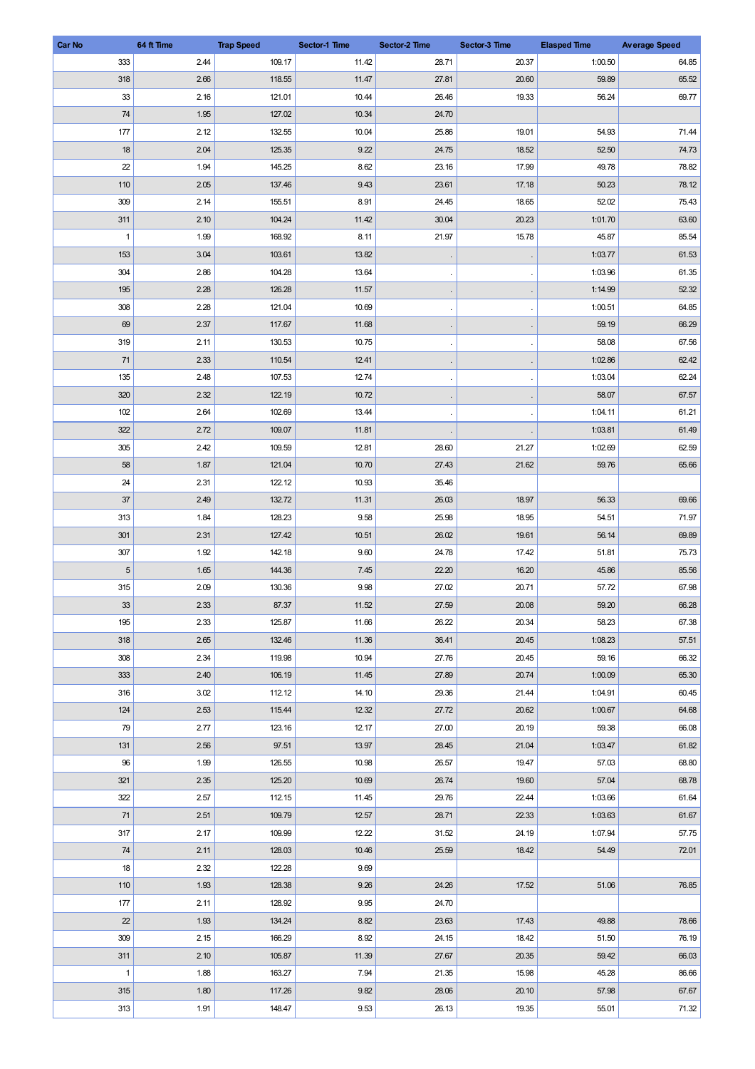| <b>Car No</b> | 64 ft Time   | <b>Trap Speed</b> | Sector-1 Time | Sector-2 Time  | Sector-3 Time  | <b>Elasped Time</b> | <b>Average Speed</b> |
|---------------|--------------|-------------------|---------------|----------------|----------------|---------------------|----------------------|
| 333           | 2.44         | 109.17            | 11.42         | 28.71          | 20.37          | 1:00.50             | 64.85                |
| 318           | 2.66         | 118.55            | 11.47         | 27.81          | 20.60          | 59.89               | 65.52                |
| 33            | 2.16         | 121.01            | 10.44         | 26.46          | 19.33          | 56.24               | 69.77                |
| 74            | 1.95         | 127.02            | 10.34         | 24.70          |                |                     |                      |
| 177           | 2.12         | 132.55            | 10.04         | 25.86          | 19.01          | 54.93               | 71.44                |
| 18            | 2.04         | 125.35            | 9.22          | 24.75          | 18.52          | 52.50               | 74.73                |
| 22            | 1.94         | 145.25            | 8.62          | 23.16          | 17.99          | 49.78               | 78.82                |
| 110           | 2.05         | 137.46            | 9.43          | 23.61          | 17.18          | 50.23               | 78.12                |
| 309           | 2.14         | 155.51            | 8.91          | 24.45          | 18.65          | 52.02               | 75.43                |
| 311           | 2.10         | 104.24            | 11.42         | 30.04          | 20.23          | 1:01.70             | 63.60                |
| $\mathbf{1}$  | 1.99         | 168.92            | 8.11          | 21.97          | 15.78          | 45.87               | 85.54                |
| 153           | 3.04         | 103.61            | 13.82         |                |                | 1:03.77             | 61.53                |
| 304           | 2.86         | 104.28            | 13.64         |                |                | 1:03.96             | 61.35                |
| 195           | 2.28         | 126.28            | 11.57         |                |                | 1:14.99             | 52.32                |
| 308           | 2.28         | 121.04            | 10.69         |                |                | 1:00.51             | 64.85                |
| 69            | 2.37         | 117.67            | 11.68         |                |                | 59.19               | 66.29                |
| 319           | 2.11         | 130.53            | 10.75         |                |                | 58.08               | 67.56                |
| 71            | 2.33         | 110.54            | 12.41         |                |                | 1:02.86             | 62.42                |
| 135           | 2.48         | 107.53            | 12.74         |                |                | 1:03.04             | 62.24                |
| 320           | 2.32         | 122.19            | 10.72         |                |                | 58.07               | 67.57                |
| 102           | 2.64         | 102.69            | 13.44         |                |                | 1:04.11             | 61.21                |
| 322           | 2.72         | 109.07            | 11.81         |                |                | 1:03.81             | 61.49                |
| 305           | 2.42         | 109.59            | 12.81         | 28.60          | 21.27          | 1:02.69             | 62.59                |
| 58            | 1.87         | 121.04            | 10.70         | 27.43          | 21.62          | 59.76               | 65.66                |
| 24            | 2.31         | 122.12            | 10.93         | 35.46          |                |                     |                      |
| 37            | 2.49         | 132.72            | 11.31         | 26.03          | 18.97          | 56.33               | 69.66                |
| 313           | 1.84         | 128.23            | 9.58          | 25.98          | 18.95          | 54.51               | 71.97                |
| 301           | 2.31         | 127.42            | 10.51         | 26.02          | 19.61          | 56.14               | 69.89                |
| 307           | 1.92         | 142.18            | 9.60          | 24.78          | 17.42          | 51.81               | 75.73                |
| $\sqrt{5}$    | 1.65         | 144.36            | 7.45          | 22.20          | 16.20          | 45.86               | 85.56                |
| 315           | 2.09         | 130.36            | 9.98          | 27.02          | 20.71          | 57.72               | 67.98                |
| $33\,$        | 2.33         | 87.37             | 11.52         | 27.59          | 20.08          | 59.20               | 66.28                |
| 195           | 2.33         | 125.87            | 11.66         | 26.22          | 20.34          | 58.23               | 67.38                |
| 318           | 2.65         | 132.46            | 11.36         | 36.41          | 20.45          | 1:08.23             | 57.51                |
| 308           | 2.34         | 119.98            | 10.94         | 27.76          | 20.45          | 59.16               | 66.32                |
| 333           | 2.40         | 106.19            | 11.45         | 27.89          | 20.74          | 1:00.09             | 65.30                |
| 316           | 3.02         | 112.12            | 14.10         | 29.36          | 21.44          | 1:04.91             | 60.45                |
| 124           | 2.53         | 115.44            | 12.32         | 27.72          | 20.62          | 1:00.67             | 64.68                |
| 79            | 2.77         | 123.16            | 12.17         | 27.00          | 20.19          | 59.38               | 66.08                |
| 131           | 2.56         | 97.51             | 13.97         | 28.45          | 21.04          | 1:03.47             | 61.82                |
| 96            | 1.99         | 126.55            | 10.98         | 26.57          | 19.47          | 57.03               | 68.80                |
| 321           | 2.35         | 125.20            | 10.69         | 26.74          | 19.60          | 57.04               | 68.78                |
| 322           | 2.57         | 112.15            | 11.45         | 29.76          | 22.44          | 1:03.66             | 61.64                |
| 71            | 2.51         | 109.79            | 12.57         | 28.71          | 22.33          | 1:03.63             | 61.67                |
| 317           | 2.17         | 109.99            | 12.22         |                | 24.19          | 1:07.94             | 57.75                |
| $74\,$        |              | 128.03            | 10.46         | 31.52<br>25.59 | 18.42          | 54.49               | 72.01                |
|               | 2.11         |                   |               |                |                |                     |                      |
| 18            | 2.32         | 122.28            | 9.69          |                |                |                     |                      |
| 110           | 1.93         | 128.38            | 9.26          | 24.26          | 17.52          | 51.06               | 76.85                |
| 177           | 2.11         | 128.92            | 9.95          | 24.70          |                |                     |                      |
| 22<br>309     | 1.93<br>2.15 | 134.24<br>166.29  | 8.82<br>8.92  | 23.63<br>24.15 | 17.43<br>18.42 | 49.88<br>51.50      | 78.66<br>76.19       |
|               |              |                   |               |                | 20.35          |                     | 66.03                |
| 311           | 2.10         | 105.87            | 11.39         | 27.67          |                | 59.42               |                      |
| $\mathbf{1}$  | 1.88         | 163.27            | 7.94          | 21.35          | 15.98          | 45.28               | 86.66                |
| 315           | 1.80         | 117.26            | 9.82          | 28.06          | 20.10          | 57.98               | 67.67                |
| 313           | 1.91         | 148.47            | 9.53          | 26.13          | 19.35          | 55.01               | 71.32                |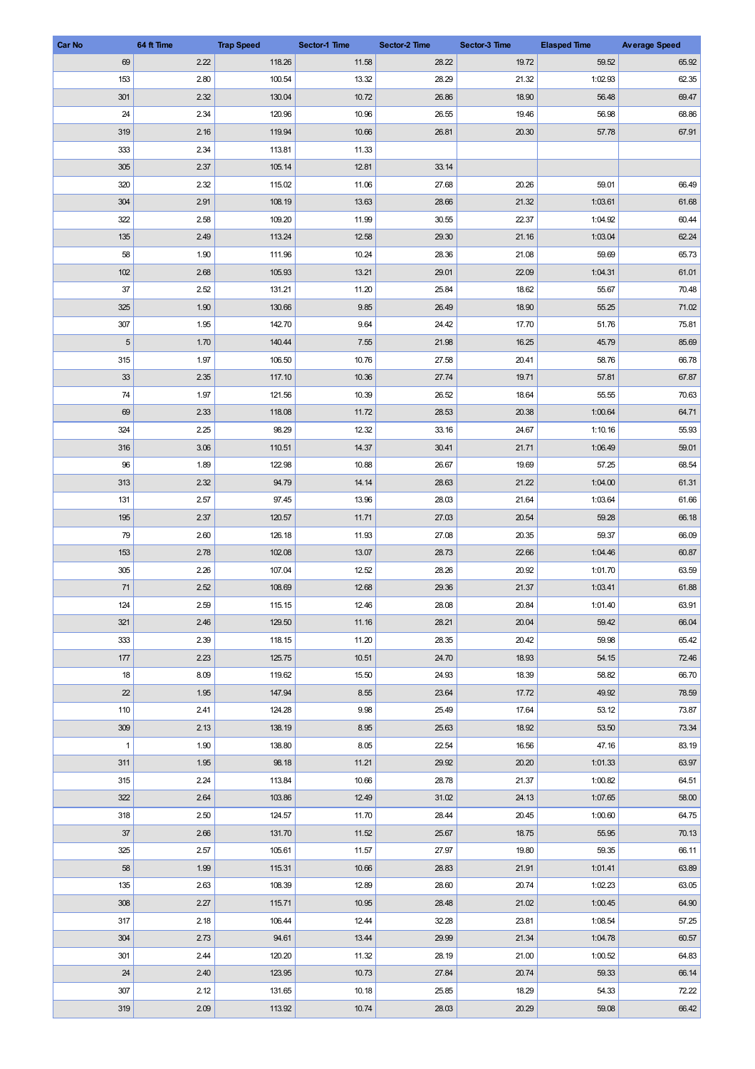| 69<br>2.22<br>118.26<br>11.58<br>28.22<br>19.72<br>59.52<br>65.92<br>153<br>2.80<br>100.54<br>28.29<br>1:02.93<br>62.35<br>13.32<br>21.32<br>301<br>2.32<br>130.04<br>10.72<br>26.86<br>18.90<br>56.48<br>69.47<br>68.86<br>24<br>2.34<br>120.96<br>10.96<br>26.55<br>19.46<br>56.98<br>67.91<br>319<br>2.16<br>119.94<br>10.66<br>26.81<br>20.30<br>57.78<br>113.81<br>333<br>2.34<br>11.33<br>305<br>2.37<br>105.14<br>12.81<br>33.14<br>2.32<br>27.68<br>66.49<br>320<br>115.02<br>11.06<br>20.26<br>59.01<br>304<br>108.19<br>21.32<br>1:03.61<br>61.68<br>2.91<br>13.63<br>28.66<br>60.44<br>322<br>2.58<br>109.20<br>11.99<br>30.55<br>22.37<br>1:04.92<br>135<br>2.49<br>62.24<br>113.24<br>12.58<br>29.30<br>21.16<br>1:03.04<br>58<br>1.90<br>65.73<br>111.96<br>10.24<br>28.36<br>21.08<br>59.69<br>102<br>2.68<br>105.93<br>29.01<br>22.09<br>61.01<br>13.21<br>1:04.31<br>37<br>2.52<br>131.21<br>25.84<br>55.67<br>70.48<br>11.20<br>18.62<br>1.90<br>71.02<br>325<br>130.66<br>9.85<br>26.49<br>18.90<br>55.25<br>307<br>1.95<br>142.70<br>9.64<br>24.42<br>17.70<br>75.81<br>51.76<br>$\sqrt{5}$<br>1.70<br>140.44<br>7.55<br>21.98<br>85.69<br>16.25<br>45.79<br>315<br>106.50<br>27.58<br>66.78<br>1.97<br>10.76<br>20.41<br>58.76<br>33<br>10.36<br>19.71<br>67.87<br>2.35<br>117.10<br>27.74<br>57.81<br>74<br>1.97<br>70.63<br>121.56<br>10.39<br>26.52<br>18.64<br>55.55<br>69<br>2.33<br>28.53<br>64.71<br>118.08<br>11.72<br>20.38<br>1:00.64<br>324<br>2.25<br>98.29<br>12.32<br>24.67<br>55.93<br>33.16<br>1:10.16<br>3.06<br>14.37<br>1:06.49<br>59.01<br>316<br>110.51<br>30.41<br>21.71<br>68.54<br>96<br>1.89<br>122.98<br>10.88<br>26.67<br>19.69<br>57.25<br>313<br>2.32<br>21.22<br>61.31<br>94.79<br>14.14<br>28.63<br>1:04.00<br>97.45<br>28.03<br>1:03.64<br>61.66<br>131<br>2.57<br>13.96<br>21.64<br>195<br>2.37<br>120.57<br>11.71<br>27.03<br>20.54<br>59.28<br>66.18<br>66.09<br>79<br>2.60<br>126.18<br>11.93<br>27.08<br>20.35<br>59.37<br>2.78<br>102.08<br>22.66<br>153<br>13.07<br>28.73<br>1:04.46<br>60.87<br>305<br>2.26<br>107.04<br>12.52<br>28.26<br>20.92<br>1:01.70<br>63.59<br>71<br>2.52<br>12.68<br>61.88<br>108.69<br>29.36<br>21.37<br>1:03.41<br>63.91<br>124<br>2.59<br>12.46<br>28.08<br>20.84<br>1:01.40<br>115.15<br>66.04<br>321<br>2.46<br>129.50<br>11.16<br>28.21<br>20.04<br>59.42<br>333<br>2.39<br>20.42<br>65.42<br>118.15<br>11.20<br>28.35<br>59.98<br>72.46<br>177<br>2.23<br>125.75<br>10.51<br>24.70<br>18.93<br>54.15<br>8.09<br>24.93<br>18.39<br>66.70<br>18<br>119.62<br>15.50<br>58.82<br>22<br>1.95<br>147.94<br>8.55<br>23.64<br>49.92<br>78.59<br>17.72<br>73.87<br>110<br>2.41<br>124.28<br>9.98<br>25.49<br>17.64<br>53.12<br>73.34<br>309<br>2.13<br>138.19<br>8.95<br>25.63<br>18.92<br>53.50 | <b>Car No</b> | 64 ft Time | <b>Trap Speed</b> | Sector-1 Time | Sector-2 Time | Sector-3 Time | <b>Elasped Time</b> | <b>Average Speed</b> |
|---------------------------------------------------------------------------------------------------------------------------------------------------------------------------------------------------------------------------------------------------------------------------------------------------------------------------------------------------------------------------------------------------------------------------------------------------------------------------------------------------------------------------------------------------------------------------------------------------------------------------------------------------------------------------------------------------------------------------------------------------------------------------------------------------------------------------------------------------------------------------------------------------------------------------------------------------------------------------------------------------------------------------------------------------------------------------------------------------------------------------------------------------------------------------------------------------------------------------------------------------------------------------------------------------------------------------------------------------------------------------------------------------------------------------------------------------------------------------------------------------------------------------------------------------------------------------------------------------------------------------------------------------------------------------------------------------------------------------------------------------------------------------------------------------------------------------------------------------------------------------------------------------------------------------------------------------------------------------------------------------------------------------------------------------------------------------------------------------------------------------------------------------------------------------------------------------------------------------------------------------------------------------------------------------------------------------------------------------------------------------------------------------------------------------------------------------------------------------------------------------------------------------------------------------------------------------------------------------------------------------------------------------------------------------------------------------------------------------------------------------------------------------------------|---------------|------------|-------------------|---------------|---------------|---------------|---------------------|----------------------|
|                                                                                                                                                                                                                                                                                                                                                                                                                                                                                                                                                                                                                                                                                                                                                                                                                                                                                                                                                                                                                                                                                                                                                                                                                                                                                                                                                                                                                                                                                                                                                                                                                                                                                                                                                                                                                                                                                                                                                                                                                                                                                                                                                                                                                                                                                                                                                                                                                                                                                                                                                                                                                                                                                                                                                                                       |               |            |                   |               |               |               |                     |                      |
|                                                                                                                                                                                                                                                                                                                                                                                                                                                                                                                                                                                                                                                                                                                                                                                                                                                                                                                                                                                                                                                                                                                                                                                                                                                                                                                                                                                                                                                                                                                                                                                                                                                                                                                                                                                                                                                                                                                                                                                                                                                                                                                                                                                                                                                                                                                                                                                                                                                                                                                                                                                                                                                                                                                                                                                       |               |            |                   |               |               |               |                     |                      |
|                                                                                                                                                                                                                                                                                                                                                                                                                                                                                                                                                                                                                                                                                                                                                                                                                                                                                                                                                                                                                                                                                                                                                                                                                                                                                                                                                                                                                                                                                                                                                                                                                                                                                                                                                                                                                                                                                                                                                                                                                                                                                                                                                                                                                                                                                                                                                                                                                                                                                                                                                                                                                                                                                                                                                                                       |               |            |                   |               |               |               |                     |                      |
|                                                                                                                                                                                                                                                                                                                                                                                                                                                                                                                                                                                                                                                                                                                                                                                                                                                                                                                                                                                                                                                                                                                                                                                                                                                                                                                                                                                                                                                                                                                                                                                                                                                                                                                                                                                                                                                                                                                                                                                                                                                                                                                                                                                                                                                                                                                                                                                                                                                                                                                                                                                                                                                                                                                                                                                       |               |            |                   |               |               |               |                     |                      |
|                                                                                                                                                                                                                                                                                                                                                                                                                                                                                                                                                                                                                                                                                                                                                                                                                                                                                                                                                                                                                                                                                                                                                                                                                                                                                                                                                                                                                                                                                                                                                                                                                                                                                                                                                                                                                                                                                                                                                                                                                                                                                                                                                                                                                                                                                                                                                                                                                                                                                                                                                                                                                                                                                                                                                                                       |               |            |                   |               |               |               |                     |                      |
|                                                                                                                                                                                                                                                                                                                                                                                                                                                                                                                                                                                                                                                                                                                                                                                                                                                                                                                                                                                                                                                                                                                                                                                                                                                                                                                                                                                                                                                                                                                                                                                                                                                                                                                                                                                                                                                                                                                                                                                                                                                                                                                                                                                                                                                                                                                                                                                                                                                                                                                                                                                                                                                                                                                                                                                       |               |            |                   |               |               |               |                     |                      |
|                                                                                                                                                                                                                                                                                                                                                                                                                                                                                                                                                                                                                                                                                                                                                                                                                                                                                                                                                                                                                                                                                                                                                                                                                                                                                                                                                                                                                                                                                                                                                                                                                                                                                                                                                                                                                                                                                                                                                                                                                                                                                                                                                                                                                                                                                                                                                                                                                                                                                                                                                                                                                                                                                                                                                                                       |               |            |                   |               |               |               |                     |                      |
|                                                                                                                                                                                                                                                                                                                                                                                                                                                                                                                                                                                                                                                                                                                                                                                                                                                                                                                                                                                                                                                                                                                                                                                                                                                                                                                                                                                                                                                                                                                                                                                                                                                                                                                                                                                                                                                                                                                                                                                                                                                                                                                                                                                                                                                                                                                                                                                                                                                                                                                                                                                                                                                                                                                                                                                       |               |            |                   |               |               |               |                     |                      |
|                                                                                                                                                                                                                                                                                                                                                                                                                                                                                                                                                                                                                                                                                                                                                                                                                                                                                                                                                                                                                                                                                                                                                                                                                                                                                                                                                                                                                                                                                                                                                                                                                                                                                                                                                                                                                                                                                                                                                                                                                                                                                                                                                                                                                                                                                                                                                                                                                                                                                                                                                                                                                                                                                                                                                                                       |               |            |                   |               |               |               |                     |                      |
|                                                                                                                                                                                                                                                                                                                                                                                                                                                                                                                                                                                                                                                                                                                                                                                                                                                                                                                                                                                                                                                                                                                                                                                                                                                                                                                                                                                                                                                                                                                                                                                                                                                                                                                                                                                                                                                                                                                                                                                                                                                                                                                                                                                                                                                                                                                                                                                                                                                                                                                                                                                                                                                                                                                                                                                       |               |            |                   |               |               |               |                     |                      |
|                                                                                                                                                                                                                                                                                                                                                                                                                                                                                                                                                                                                                                                                                                                                                                                                                                                                                                                                                                                                                                                                                                                                                                                                                                                                                                                                                                                                                                                                                                                                                                                                                                                                                                                                                                                                                                                                                                                                                                                                                                                                                                                                                                                                                                                                                                                                                                                                                                                                                                                                                                                                                                                                                                                                                                                       |               |            |                   |               |               |               |                     |                      |
|                                                                                                                                                                                                                                                                                                                                                                                                                                                                                                                                                                                                                                                                                                                                                                                                                                                                                                                                                                                                                                                                                                                                                                                                                                                                                                                                                                                                                                                                                                                                                                                                                                                                                                                                                                                                                                                                                                                                                                                                                                                                                                                                                                                                                                                                                                                                                                                                                                                                                                                                                                                                                                                                                                                                                                                       |               |            |                   |               |               |               |                     |                      |
|                                                                                                                                                                                                                                                                                                                                                                                                                                                                                                                                                                                                                                                                                                                                                                                                                                                                                                                                                                                                                                                                                                                                                                                                                                                                                                                                                                                                                                                                                                                                                                                                                                                                                                                                                                                                                                                                                                                                                                                                                                                                                                                                                                                                                                                                                                                                                                                                                                                                                                                                                                                                                                                                                                                                                                                       |               |            |                   |               |               |               |                     |                      |
|                                                                                                                                                                                                                                                                                                                                                                                                                                                                                                                                                                                                                                                                                                                                                                                                                                                                                                                                                                                                                                                                                                                                                                                                                                                                                                                                                                                                                                                                                                                                                                                                                                                                                                                                                                                                                                                                                                                                                                                                                                                                                                                                                                                                                                                                                                                                                                                                                                                                                                                                                                                                                                                                                                                                                                                       |               |            |                   |               |               |               |                     |                      |
|                                                                                                                                                                                                                                                                                                                                                                                                                                                                                                                                                                                                                                                                                                                                                                                                                                                                                                                                                                                                                                                                                                                                                                                                                                                                                                                                                                                                                                                                                                                                                                                                                                                                                                                                                                                                                                                                                                                                                                                                                                                                                                                                                                                                                                                                                                                                                                                                                                                                                                                                                                                                                                                                                                                                                                                       |               |            |                   |               |               |               |                     |                      |
|                                                                                                                                                                                                                                                                                                                                                                                                                                                                                                                                                                                                                                                                                                                                                                                                                                                                                                                                                                                                                                                                                                                                                                                                                                                                                                                                                                                                                                                                                                                                                                                                                                                                                                                                                                                                                                                                                                                                                                                                                                                                                                                                                                                                                                                                                                                                                                                                                                                                                                                                                                                                                                                                                                                                                                                       |               |            |                   |               |               |               |                     |                      |
|                                                                                                                                                                                                                                                                                                                                                                                                                                                                                                                                                                                                                                                                                                                                                                                                                                                                                                                                                                                                                                                                                                                                                                                                                                                                                                                                                                                                                                                                                                                                                                                                                                                                                                                                                                                                                                                                                                                                                                                                                                                                                                                                                                                                                                                                                                                                                                                                                                                                                                                                                                                                                                                                                                                                                                                       |               |            |                   |               |               |               |                     |                      |
|                                                                                                                                                                                                                                                                                                                                                                                                                                                                                                                                                                                                                                                                                                                                                                                                                                                                                                                                                                                                                                                                                                                                                                                                                                                                                                                                                                                                                                                                                                                                                                                                                                                                                                                                                                                                                                                                                                                                                                                                                                                                                                                                                                                                                                                                                                                                                                                                                                                                                                                                                                                                                                                                                                                                                                                       |               |            |                   |               |               |               |                     |                      |
|                                                                                                                                                                                                                                                                                                                                                                                                                                                                                                                                                                                                                                                                                                                                                                                                                                                                                                                                                                                                                                                                                                                                                                                                                                                                                                                                                                                                                                                                                                                                                                                                                                                                                                                                                                                                                                                                                                                                                                                                                                                                                                                                                                                                                                                                                                                                                                                                                                                                                                                                                                                                                                                                                                                                                                                       |               |            |                   |               |               |               |                     |                      |
|                                                                                                                                                                                                                                                                                                                                                                                                                                                                                                                                                                                                                                                                                                                                                                                                                                                                                                                                                                                                                                                                                                                                                                                                                                                                                                                                                                                                                                                                                                                                                                                                                                                                                                                                                                                                                                                                                                                                                                                                                                                                                                                                                                                                                                                                                                                                                                                                                                                                                                                                                                                                                                                                                                                                                                                       |               |            |                   |               |               |               |                     |                      |
|                                                                                                                                                                                                                                                                                                                                                                                                                                                                                                                                                                                                                                                                                                                                                                                                                                                                                                                                                                                                                                                                                                                                                                                                                                                                                                                                                                                                                                                                                                                                                                                                                                                                                                                                                                                                                                                                                                                                                                                                                                                                                                                                                                                                                                                                                                                                                                                                                                                                                                                                                                                                                                                                                                                                                                                       |               |            |                   |               |               |               |                     |                      |
|                                                                                                                                                                                                                                                                                                                                                                                                                                                                                                                                                                                                                                                                                                                                                                                                                                                                                                                                                                                                                                                                                                                                                                                                                                                                                                                                                                                                                                                                                                                                                                                                                                                                                                                                                                                                                                                                                                                                                                                                                                                                                                                                                                                                                                                                                                                                                                                                                                                                                                                                                                                                                                                                                                                                                                                       |               |            |                   |               |               |               |                     |                      |
|                                                                                                                                                                                                                                                                                                                                                                                                                                                                                                                                                                                                                                                                                                                                                                                                                                                                                                                                                                                                                                                                                                                                                                                                                                                                                                                                                                                                                                                                                                                                                                                                                                                                                                                                                                                                                                                                                                                                                                                                                                                                                                                                                                                                                                                                                                                                                                                                                                                                                                                                                                                                                                                                                                                                                                                       |               |            |                   |               |               |               |                     |                      |
|                                                                                                                                                                                                                                                                                                                                                                                                                                                                                                                                                                                                                                                                                                                                                                                                                                                                                                                                                                                                                                                                                                                                                                                                                                                                                                                                                                                                                                                                                                                                                                                                                                                                                                                                                                                                                                                                                                                                                                                                                                                                                                                                                                                                                                                                                                                                                                                                                                                                                                                                                                                                                                                                                                                                                                                       |               |            |                   |               |               |               |                     |                      |
|                                                                                                                                                                                                                                                                                                                                                                                                                                                                                                                                                                                                                                                                                                                                                                                                                                                                                                                                                                                                                                                                                                                                                                                                                                                                                                                                                                                                                                                                                                                                                                                                                                                                                                                                                                                                                                                                                                                                                                                                                                                                                                                                                                                                                                                                                                                                                                                                                                                                                                                                                                                                                                                                                                                                                                                       |               |            |                   |               |               |               |                     |                      |
|                                                                                                                                                                                                                                                                                                                                                                                                                                                                                                                                                                                                                                                                                                                                                                                                                                                                                                                                                                                                                                                                                                                                                                                                                                                                                                                                                                                                                                                                                                                                                                                                                                                                                                                                                                                                                                                                                                                                                                                                                                                                                                                                                                                                                                                                                                                                                                                                                                                                                                                                                                                                                                                                                                                                                                                       |               |            |                   |               |               |               |                     |                      |
|                                                                                                                                                                                                                                                                                                                                                                                                                                                                                                                                                                                                                                                                                                                                                                                                                                                                                                                                                                                                                                                                                                                                                                                                                                                                                                                                                                                                                                                                                                                                                                                                                                                                                                                                                                                                                                                                                                                                                                                                                                                                                                                                                                                                                                                                                                                                                                                                                                                                                                                                                                                                                                                                                                                                                                                       |               |            |                   |               |               |               |                     |                      |
|                                                                                                                                                                                                                                                                                                                                                                                                                                                                                                                                                                                                                                                                                                                                                                                                                                                                                                                                                                                                                                                                                                                                                                                                                                                                                                                                                                                                                                                                                                                                                                                                                                                                                                                                                                                                                                                                                                                                                                                                                                                                                                                                                                                                                                                                                                                                                                                                                                                                                                                                                                                                                                                                                                                                                                                       |               |            |                   |               |               |               |                     |                      |
|                                                                                                                                                                                                                                                                                                                                                                                                                                                                                                                                                                                                                                                                                                                                                                                                                                                                                                                                                                                                                                                                                                                                                                                                                                                                                                                                                                                                                                                                                                                                                                                                                                                                                                                                                                                                                                                                                                                                                                                                                                                                                                                                                                                                                                                                                                                                                                                                                                                                                                                                                                                                                                                                                                                                                                                       |               |            |                   |               |               |               |                     |                      |
|                                                                                                                                                                                                                                                                                                                                                                                                                                                                                                                                                                                                                                                                                                                                                                                                                                                                                                                                                                                                                                                                                                                                                                                                                                                                                                                                                                                                                                                                                                                                                                                                                                                                                                                                                                                                                                                                                                                                                                                                                                                                                                                                                                                                                                                                                                                                                                                                                                                                                                                                                                                                                                                                                                                                                                                       |               |            |                   |               |               |               |                     |                      |
|                                                                                                                                                                                                                                                                                                                                                                                                                                                                                                                                                                                                                                                                                                                                                                                                                                                                                                                                                                                                                                                                                                                                                                                                                                                                                                                                                                                                                                                                                                                                                                                                                                                                                                                                                                                                                                                                                                                                                                                                                                                                                                                                                                                                                                                                                                                                                                                                                                                                                                                                                                                                                                                                                                                                                                                       |               |            |                   |               |               |               |                     |                      |
|                                                                                                                                                                                                                                                                                                                                                                                                                                                                                                                                                                                                                                                                                                                                                                                                                                                                                                                                                                                                                                                                                                                                                                                                                                                                                                                                                                                                                                                                                                                                                                                                                                                                                                                                                                                                                                                                                                                                                                                                                                                                                                                                                                                                                                                                                                                                                                                                                                                                                                                                                                                                                                                                                                                                                                                       |               |            |                   |               |               |               |                     |                      |
|                                                                                                                                                                                                                                                                                                                                                                                                                                                                                                                                                                                                                                                                                                                                                                                                                                                                                                                                                                                                                                                                                                                                                                                                                                                                                                                                                                                                                                                                                                                                                                                                                                                                                                                                                                                                                                                                                                                                                                                                                                                                                                                                                                                                                                                                                                                                                                                                                                                                                                                                                                                                                                                                                                                                                                                       |               |            |                   |               |               |               |                     |                      |
|                                                                                                                                                                                                                                                                                                                                                                                                                                                                                                                                                                                                                                                                                                                                                                                                                                                                                                                                                                                                                                                                                                                                                                                                                                                                                                                                                                                                                                                                                                                                                                                                                                                                                                                                                                                                                                                                                                                                                                                                                                                                                                                                                                                                                                                                                                                                                                                                                                                                                                                                                                                                                                                                                                                                                                                       |               |            |                   |               |               |               |                     |                      |
|                                                                                                                                                                                                                                                                                                                                                                                                                                                                                                                                                                                                                                                                                                                                                                                                                                                                                                                                                                                                                                                                                                                                                                                                                                                                                                                                                                                                                                                                                                                                                                                                                                                                                                                                                                                                                                                                                                                                                                                                                                                                                                                                                                                                                                                                                                                                                                                                                                                                                                                                                                                                                                                                                                                                                                                       |               |            |                   |               |               |               |                     |                      |
|                                                                                                                                                                                                                                                                                                                                                                                                                                                                                                                                                                                                                                                                                                                                                                                                                                                                                                                                                                                                                                                                                                                                                                                                                                                                                                                                                                                                                                                                                                                                                                                                                                                                                                                                                                                                                                                                                                                                                                                                                                                                                                                                                                                                                                                                                                                                                                                                                                                                                                                                                                                                                                                                                                                                                                                       |               |            |                   |               |               |               |                     |                      |
|                                                                                                                                                                                                                                                                                                                                                                                                                                                                                                                                                                                                                                                                                                                                                                                                                                                                                                                                                                                                                                                                                                                                                                                                                                                                                                                                                                                                                                                                                                                                                                                                                                                                                                                                                                                                                                                                                                                                                                                                                                                                                                                                                                                                                                                                                                                                                                                                                                                                                                                                                                                                                                                                                                                                                                                       |               |            |                   |               |               |               |                     |                      |
|                                                                                                                                                                                                                                                                                                                                                                                                                                                                                                                                                                                                                                                                                                                                                                                                                                                                                                                                                                                                                                                                                                                                                                                                                                                                                                                                                                                                                                                                                                                                                                                                                                                                                                                                                                                                                                                                                                                                                                                                                                                                                                                                                                                                                                                                                                                                                                                                                                                                                                                                                                                                                                                                                                                                                                                       |               |            |                   |               |               |               |                     |                      |
|                                                                                                                                                                                                                                                                                                                                                                                                                                                                                                                                                                                                                                                                                                                                                                                                                                                                                                                                                                                                                                                                                                                                                                                                                                                                                                                                                                                                                                                                                                                                                                                                                                                                                                                                                                                                                                                                                                                                                                                                                                                                                                                                                                                                                                                                                                                                                                                                                                                                                                                                                                                                                                                                                                                                                                                       |               |            |                   |               |               |               |                     |                      |
|                                                                                                                                                                                                                                                                                                                                                                                                                                                                                                                                                                                                                                                                                                                                                                                                                                                                                                                                                                                                                                                                                                                                                                                                                                                                                                                                                                                                                                                                                                                                                                                                                                                                                                                                                                                                                                                                                                                                                                                                                                                                                                                                                                                                                                                                                                                                                                                                                                                                                                                                                                                                                                                                                                                                                                                       |               |            |                   |               |               |               |                     |                      |
| 83.19<br>$\mathbf{1}$<br>1.90<br>138.80<br>8.05<br>22.54<br>16.56<br>47.16                                                                                                                                                                                                                                                                                                                                                                                                                                                                                                                                                                                                                                                                                                                                                                                                                                                                                                                                                                                                                                                                                                                                                                                                                                                                                                                                                                                                                                                                                                                                                                                                                                                                                                                                                                                                                                                                                                                                                                                                                                                                                                                                                                                                                                                                                                                                                                                                                                                                                                                                                                                                                                                                                                            |               |            |                   |               |               |               |                     |                      |
| 1.95<br>63.97<br>311<br>98.18<br>11.21<br>29.92<br>20.20<br>1:01.33                                                                                                                                                                                                                                                                                                                                                                                                                                                                                                                                                                                                                                                                                                                                                                                                                                                                                                                                                                                                                                                                                                                                                                                                                                                                                                                                                                                                                                                                                                                                                                                                                                                                                                                                                                                                                                                                                                                                                                                                                                                                                                                                                                                                                                                                                                                                                                                                                                                                                                                                                                                                                                                                                                                   |               |            |                   |               |               |               |                     |                      |
| 315<br>28.78<br>64.51<br>2.24<br>113.84<br>10.66<br>21.37<br>1:00.82                                                                                                                                                                                                                                                                                                                                                                                                                                                                                                                                                                                                                                                                                                                                                                                                                                                                                                                                                                                                                                                                                                                                                                                                                                                                                                                                                                                                                                                                                                                                                                                                                                                                                                                                                                                                                                                                                                                                                                                                                                                                                                                                                                                                                                                                                                                                                                                                                                                                                                                                                                                                                                                                                                                  |               |            |                   |               |               |               |                     |                      |
| 58.00<br>322<br>2.64<br>103.86<br>12.49<br>31.02<br>24.13<br>1:07.65                                                                                                                                                                                                                                                                                                                                                                                                                                                                                                                                                                                                                                                                                                                                                                                                                                                                                                                                                                                                                                                                                                                                                                                                                                                                                                                                                                                                                                                                                                                                                                                                                                                                                                                                                                                                                                                                                                                                                                                                                                                                                                                                                                                                                                                                                                                                                                                                                                                                                                                                                                                                                                                                                                                  |               |            |                   |               |               |               |                     |                      |
| 64.75<br>318<br>2.50<br>124.57<br>28.44<br>20.45<br>1:00.60<br>11.70                                                                                                                                                                                                                                                                                                                                                                                                                                                                                                                                                                                                                                                                                                                                                                                                                                                                                                                                                                                                                                                                                                                                                                                                                                                                                                                                                                                                                                                                                                                                                                                                                                                                                                                                                                                                                                                                                                                                                                                                                                                                                                                                                                                                                                                                                                                                                                                                                                                                                                                                                                                                                                                                                                                  |               |            |                   |               |               |               |                     |                      |
| 37<br>70.13<br>2.66<br>131.70<br>11.52<br>25.67<br>18.75<br>55.95                                                                                                                                                                                                                                                                                                                                                                                                                                                                                                                                                                                                                                                                                                                                                                                                                                                                                                                                                                                                                                                                                                                                                                                                                                                                                                                                                                                                                                                                                                                                                                                                                                                                                                                                                                                                                                                                                                                                                                                                                                                                                                                                                                                                                                                                                                                                                                                                                                                                                                                                                                                                                                                                                                                     |               |            |                   |               |               |               |                     |                      |
| 325<br>2.57<br>105.61<br>11.57<br>27.97<br>19.80<br>59.35<br>66.11                                                                                                                                                                                                                                                                                                                                                                                                                                                                                                                                                                                                                                                                                                                                                                                                                                                                                                                                                                                                                                                                                                                                                                                                                                                                                                                                                                                                                                                                                                                                                                                                                                                                                                                                                                                                                                                                                                                                                                                                                                                                                                                                                                                                                                                                                                                                                                                                                                                                                                                                                                                                                                                                                                                    |               |            |                   |               |               |               |                     |                      |
| 58<br>1.99<br>63.89<br>115.31<br>10.66<br>28.83<br>21.91<br>1:01.41                                                                                                                                                                                                                                                                                                                                                                                                                                                                                                                                                                                                                                                                                                                                                                                                                                                                                                                                                                                                                                                                                                                                                                                                                                                                                                                                                                                                                                                                                                                                                                                                                                                                                                                                                                                                                                                                                                                                                                                                                                                                                                                                                                                                                                                                                                                                                                                                                                                                                                                                                                                                                                                                                                                   |               |            |                   |               |               |               |                     |                      |
| 63.05<br>135<br>2.63<br>108.39<br>12.89<br>28.60<br>20.74<br>1:02.23                                                                                                                                                                                                                                                                                                                                                                                                                                                                                                                                                                                                                                                                                                                                                                                                                                                                                                                                                                                                                                                                                                                                                                                                                                                                                                                                                                                                                                                                                                                                                                                                                                                                                                                                                                                                                                                                                                                                                                                                                                                                                                                                                                                                                                                                                                                                                                                                                                                                                                                                                                                                                                                                                                                  |               |            |                   |               |               |               |                     |                      |
| 64.90<br>308<br>2.27<br>115.71<br>10.95<br>28.48<br>21.02<br>1:00.45                                                                                                                                                                                                                                                                                                                                                                                                                                                                                                                                                                                                                                                                                                                                                                                                                                                                                                                                                                                                                                                                                                                                                                                                                                                                                                                                                                                                                                                                                                                                                                                                                                                                                                                                                                                                                                                                                                                                                                                                                                                                                                                                                                                                                                                                                                                                                                                                                                                                                                                                                                                                                                                                                                                  |               |            |                   |               |               |               |                     |                      |
| 2.18<br>106.44<br>57.25<br>317<br>12.44<br>32.28<br>23.81<br>1:08.54                                                                                                                                                                                                                                                                                                                                                                                                                                                                                                                                                                                                                                                                                                                                                                                                                                                                                                                                                                                                                                                                                                                                                                                                                                                                                                                                                                                                                                                                                                                                                                                                                                                                                                                                                                                                                                                                                                                                                                                                                                                                                                                                                                                                                                                                                                                                                                                                                                                                                                                                                                                                                                                                                                                  |               |            |                   |               |               |               |                     |                      |
| 304<br>60.57<br>2.73<br>94.61<br>13.44<br>29.99<br>21.34<br>1:04.78                                                                                                                                                                                                                                                                                                                                                                                                                                                                                                                                                                                                                                                                                                                                                                                                                                                                                                                                                                                                                                                                                                                                                                                                                                                                                                                                                                                                                                                                                                                                                                                                                                                                                                                                                                                                                                                                                                                                                                                                                                                                                                                                                                                                                                                                                                                                                                                                                                                                                                                                                                                                                                                                                                                   |               |            |                   |               |               |               |                     |                      |
| 64.83<br>301<br>2.44<br>120.20<br>11.32<br>28.19<br>21.00<br>1:00.52                                                                                                                                                                                                                                                                                                                                                                                                                                                                                                                                                                                                                                                                                                                                                                                                                                                                                                                                                                                                                                                                                                                                                                                                                                                                                                                                                                                                                                                                                                                                                                                                                                                                                                                                                                                                                                                                                                                                                                                                                                                                                                                                                                                                                                                                                                                                                                                                                                                                                                                                                                                                                                                                                                                  |               |            |                   |               |               |               |                     |                      |
| 24<br>2.40<br>123.95<br>10.73<br>27.84<br>20.74<br>59.33<br>66.14                                                                                                                                                                                                                                                                                                                                                                                                                                                                                                                                                                                                                                                                                                                                                                                                                                                                                                                                                                                                                                                                                                                                                                                                                                                                                                                                                                                                                                                                                                                                                                                                                                                                                                                                                                                                                                                                                                                                                                                                                                                                                                                                                                                                                                                                                                                                                                                                                                                                                                                                                                                                                                                                                                                     |               |            |                   |               |               |               |                     |                      |
| 307<br>2.12<br>131.65<br>10.18<br>25.85<br>18.29<br>54.33<br>72.22                                                                                                                                                                                                                                                                                                                                                                                                                                                                                                                                                                                                                                                                                                                                                                                                                                                                                                                                                                                                                                                                                                                                                                                                                                                                                                                                                                                                                                                                                                                                                                                                                                                                                                                                                                                                                                                                                                                                                                                                                                                                                                                                                                                                                                                                                                                                                                                                                                                                                                                                                                                                                                                                                                                    |               |            |                   |               |               |               |                     |                      |
| 66.42<br>319<br>2.09<br>113.92<br>10.74<br>28.03<br>20.29<br>59.08                                                                                                                                                                                                                                                                                                                                                                                                                                                                                                                                                                                                                                                                                                                                                                                                                                                                                                                                                                                                                                                                                                                                                                                                                                                                                                                                                                                                                                                                                                                                                                                                                                                                                                                                                                                                                                                                                                                                                                                                                                                                                                                                                                                                                                                                                                                                                                                                                                                                                                                                                                                                                                                                                                                    |               |            |                   |               |               |               |                     |                      |